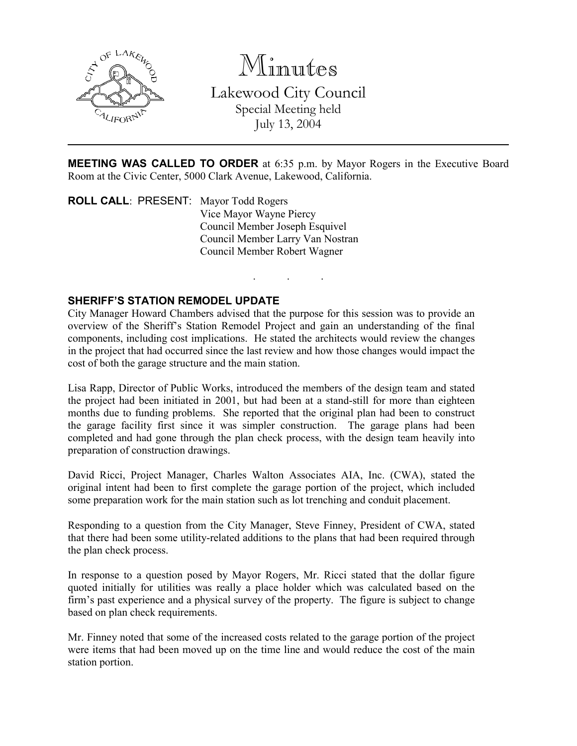

Minutes

Lakewood City Council Special Meeting held July 13, 2004

MEETING WAS CALLED TO ORDER at 6:35 p.m. by Mayor Rogers in the Executive Board Room at the Civic Center, 5000 Clark Avenue, Lakewood, California.

. . .

ROLL CALL: PRESENT: Mayor Todd Rogers Vice Mayor Wayne Piercy Council Member Joseph Esquivel Council Member Larry Van Nostran Council Member Robert Wagner

## SHERIFF'S STATION REMODEL UPDATE

City Manager Howard Chambers advised that the purpose for this session was to provide an overview of the Sheriff's Station Remodel Project and gain an understanding of the final components, including cost implications. He stated the architects would review the changes in the project that had occurred since the last review and how those changes would impact the cost of both the garage structure and the main station.

Lisa Rapp, Director of Public Works, introduced the members of the design team and stated the project had been initiated in 2001, but had been at a stand-still for more than eighteen months due to funding problems. She reported that the original plan had been to construct the garage facility first since it was simpler construction. The garage plans had been completed and had gone through the plan check process, with the design team heavily into preparation of construction drawings.

David Ricci, Project Manager, Charles Walton Associates AIA, Inc. (CWA), stated the original intent had been to first complete the garage portion of the project, which included some preparation work for the main station such as lot trenching and conduit placement.

Responding to a question from the City Manager, Steve Finney, President of CWA, stated that there had been some utility-related additions to the plans that had been required through the plan check process.

In response to a question posed by Mayor Rogers, Mr. Ricci stated that the dollar figure quoted initially for utilities was really a place holder which was calculated based on the firm's past experience and a physical survey of the property. The figure is subject to change based on plan check requirements.

Mr. Finney noted that some of the increased costs related to the garage portion of the project were items that had been moved up on the time line and would reduce the cost of the main station portion.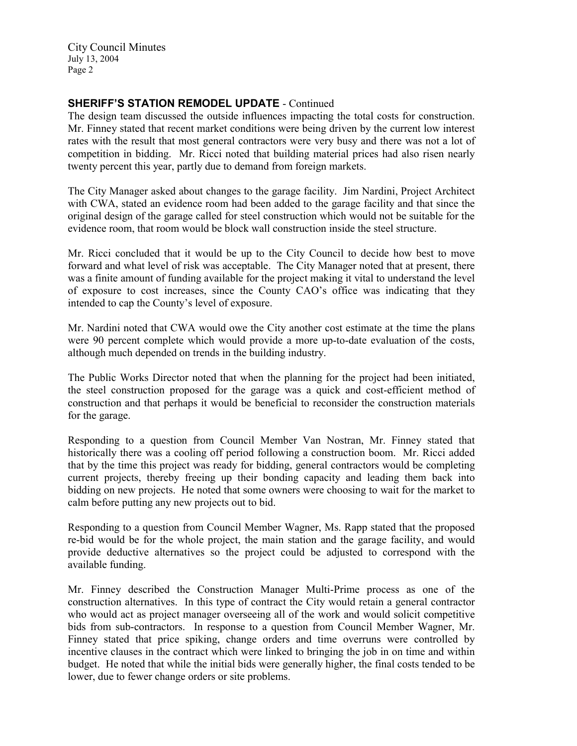City Council Minutes July 13, 2004 Page 2

## SHERIFF'S STATION REMODEL UPDATE - Continued

The design team discussed the outside influences impacting the total costs for construction. Mr. Finney stated that recent market conditions were being driven by the current low interest rates with the result that most general contractors were very busy and there was not a lot of competition in bidding. Mr. Ricci noted that building material prices had also risen nearly twenty percent this year, partly due to demand from foreign markets.

The City Manager asked about changes to the garage facility. Jim Nardini, Project Architect with CWA, stated an evidence room had been added to the garage facility and that since the original design of the garage called for steel construction which would not be suitable for the evidence room, that room would be block wall construction inside the steel structure.

Mr. Ricci concluded that it would be up to the City Council to decide how best to move forward and what level of risk was acceptable. The City Manager noted that at present, there was a finite amount of funding available for the project making it vital to understand the level of exposure to cost increases, since the County CAO's office was indicating that they intended to cap the County's level of exposure.

Mr. Nardini noted that CWA would owe the City another cost estimate at the time the plans were 90 percent complete which would provide a more up-to-date evaluation of the costs, although much depended on trends in the building industry.

The Public Works Director noted that when the planning for the project had been initiated, the steel construction proposed for the garage was a quick and cost-efficient method of construction and that perhaps it would be beneficial to reconsider the construction materials for the garage.

Responding to a question from Council Member Van Nostran, Mr. Finney stated that historically there was a cooling off period following a construction boom. Mr. Ricci added that by the time this project was ready for bidding, general contractors would be completing current projects, thereby freeing up their bonding capacity and leading them back into bidding on new projects. He noted that some owners were choosing to wait for the market to calm before putting any new projects out to bid.

Responding to a question from Council Member Wagner, Ms. Rapp stated that the proposed re-bid would be for the whole project, the main station and the garage facility, and would provide deductive alternatives so the project could be adjusted to correspond with the available funding.

Mr. Finney described the Construction Manager Multi-Prime process as one of the construction alternatives. In this type of contract the City would retain a general contractor who would act as project manager overseeing all of the work and would solicit competitive bids from sub-contractors. In response to a question from Council Member Wagner, Mr. Finney stated that price spiking, change orders and time overruns were controlled by incentive clauses in the contract which were linked to bringing the job in on time and within budget. He noted that while the initial bids were generally higher, the final costs tended to be lower, due to fewer change orders or site problems.